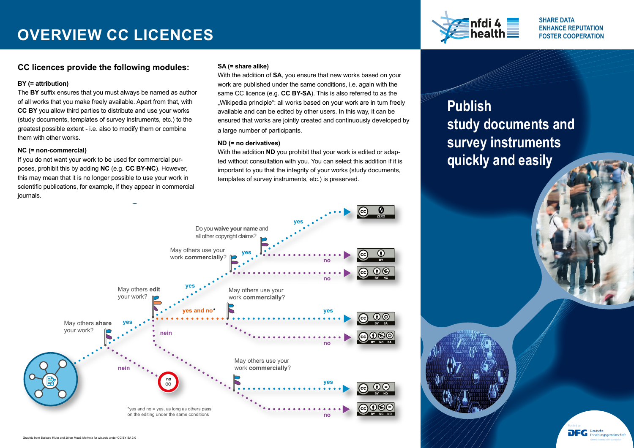# **OVERVIEW CC LICENCES**



**SHARE DATA ENHANCE REPUTATION FOSTER COOPERATION** 

Funded by

DFG

**Dautsch** 

### **CC licences provide the following modules:**

### **BY (= attribution)**

The **BY** suffix ensures that you must always be named as author of all works that you make freely available. Apart from that, with **CC BY** you allow third parties to distribute and use your works (study documents, templates of survey instruments, etc.) to the greatest possible extent - i.e. also to modify them or combine them with other works.

### **NC (= non-commercial)**

If you do not want your work to be used for commercial purposes, prohibit this by adding **NC** (e.g. **CC BY-NC**). However, this may mean that it is no longer possible to use your work in scientific publications, for example, if they appear in commercial journals. **CO-licences at a glance at a glance of the glance at a glance of the glance of the glance of the glance of the glance of the glance of the glance of the glance of the glance of the glance of the glance of the glance of th** 

### **SA (= share alike)**

With the addition of **SA**, you ensure that new works based on your work are published under the same conditions, i.e. again with the same CC licence (e.g. **CC BY-SA**). This is also referred to as the "Wikipedia principle": all works based on your work are in turn freely available and can be edited by other users. In this way, it can be ensured that works are jointly created and continuously developed by a large number of participants.

### **ND (= no derivatives)**

With the addition **ND** you prohibit that your work is edited or adapted without consultation with you. You can select this addition if it is important to you that the integrity of your works (study documents, templates of survey instruments, etc.) is preserved.

# **Publish study documents and survey instruments quickly and easily**